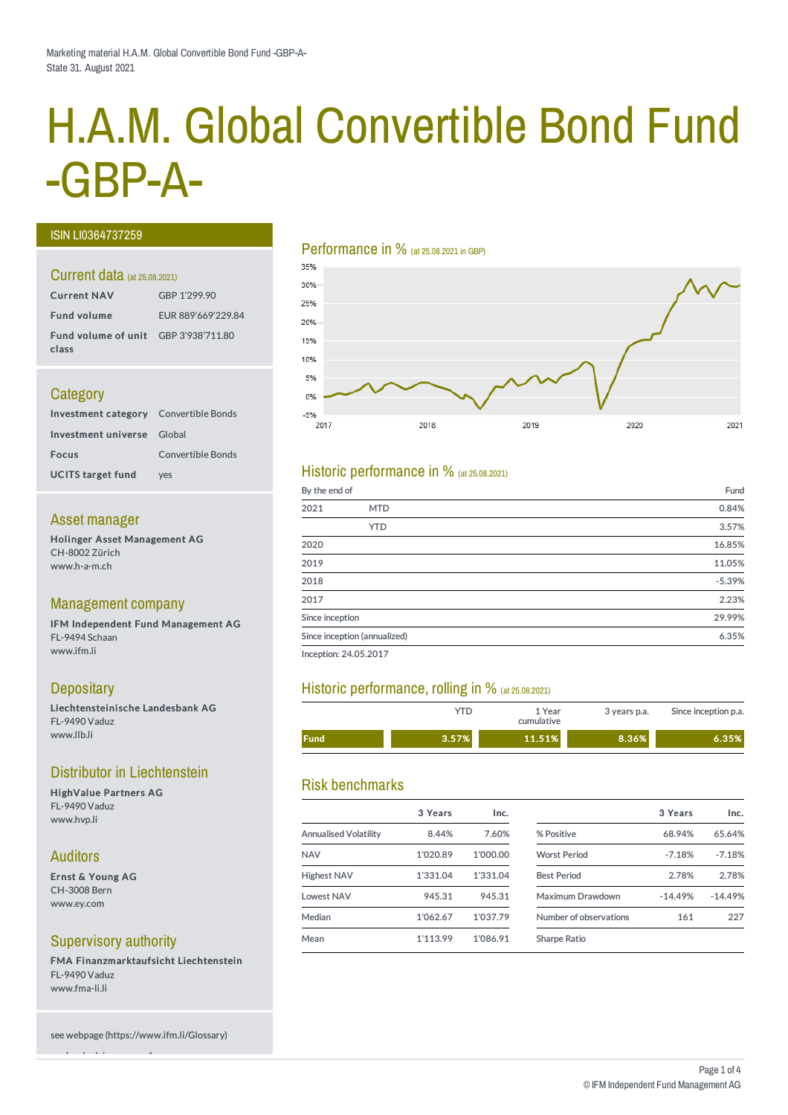# H.A.M. Global Convertible Bond Fund -GBP-A-

#### ISIN LI0364737259

#### Current data (at 25.08.2021)

| <b>Current NAV</b>                            | GBP 1'299.90       |
|-----------------------------------------------|--------------------|
| <b>Fund volume</b>                            | EUR 889'669'229.84 |
| Fund volume of unit GBP 3'938'711.80<br>class |                    |

# **Category**

| <b>Investment category</b> Convertible Bonds |                          |
|----------------------------------------------|--------------------------|
| Investment universe Global                   |                          |
| <b>Focus</b>                                 | <b>Convertible Bonds</b> |
| <b>UCITS target fund</b>                     | ves                      |

#### Asset manager

Holinger Asset Management AG CH-8002 Zürich www.h-a-m.ch

# Management company

IFM Independent Fund Management AG FL-9494 Schaan www.ifm.li

# **Depositary**

Liechtensteinische Landesbank AG FL-9490 Vaduz www.llb.li

# Distributor in Liechtenstein

HighValue Partners AG FL-9490 Vaduz www.hvp.li

# Auditors

Ernst & Young AG CH-3008 Bern www.ey.com

# Supervisory authority

see legal advisory page 4

FMA Finanzmarktaufsicht Liechtenstein FL-9490 Vaduz www.fma-li.li

see webpage (https://www.ifm.li/Glossary)

#### Performance in % (at 25.08.2021 in GBP)



# Historic performance in  $%$  (at 25.08.2021)

| By the end of   |                              | Fund     |
|-----------------|------------------------------|----------|
| 2021            | <b>MTD</b>                   | 0.84%    |
|                 | <b>YTD</b>                   | 3.57%    |
| 2020            |                              | 16.85%   |
| 2019            |                              | 11.05%   |
| 2018            |                              | $-5.39%$ |
| 2017            |                              | 2.23%    |
| Since inception |                              | 29.99%   |
|                 | Since inception (annualized) | 6.35%    |
|                 |                              |          |

Inception: 24.05.2017

# Historic performance, rolling in % (at 25.08.2021)

|             | ⁄ΤD   | 1 Year<br>cumulative | 3 years p.a. | Since inception p.a. |
|-------------|-------|----------------------|--------------|----------------------|
| <b>Fund</b> | 3.57% | 11.51%               | 8.36%        | 6.35%                |

# Risk benchmarks

|                              | 3 Years  | Inc.     |                        | 3 Years   | Inc.      |
|------------------------------|----------|----------|------------------------|-----------|-----------|
| <b>Annualised Volatility</b> | 8.44%    | 7.60%    | % Positive             | 68.94%    | 65.64%    |
| <b>NAV</b>                   | 1'020.89 | 1'000.00 | <b>Worst Period</b>    | $-7.18%$  | $-7.18%$  |
| <b>Highest NAV</b>           | 1'331.04 | 1'331.04 | <b>Best Period</b>     | 2.78%     | 2.78%     |
| <b>Lowest NAV</b>            | 945.31   | 945.31   | Maximum Drawdown       | $-14.49%$ | $-14.49%$ |
| Median                       | 1'062.67 | 1'037.79 | Number of observations | 161       | 227       |
| Mean                         | 1'113.99 | 1'086.91 | Sharpe Ratio           |           |           |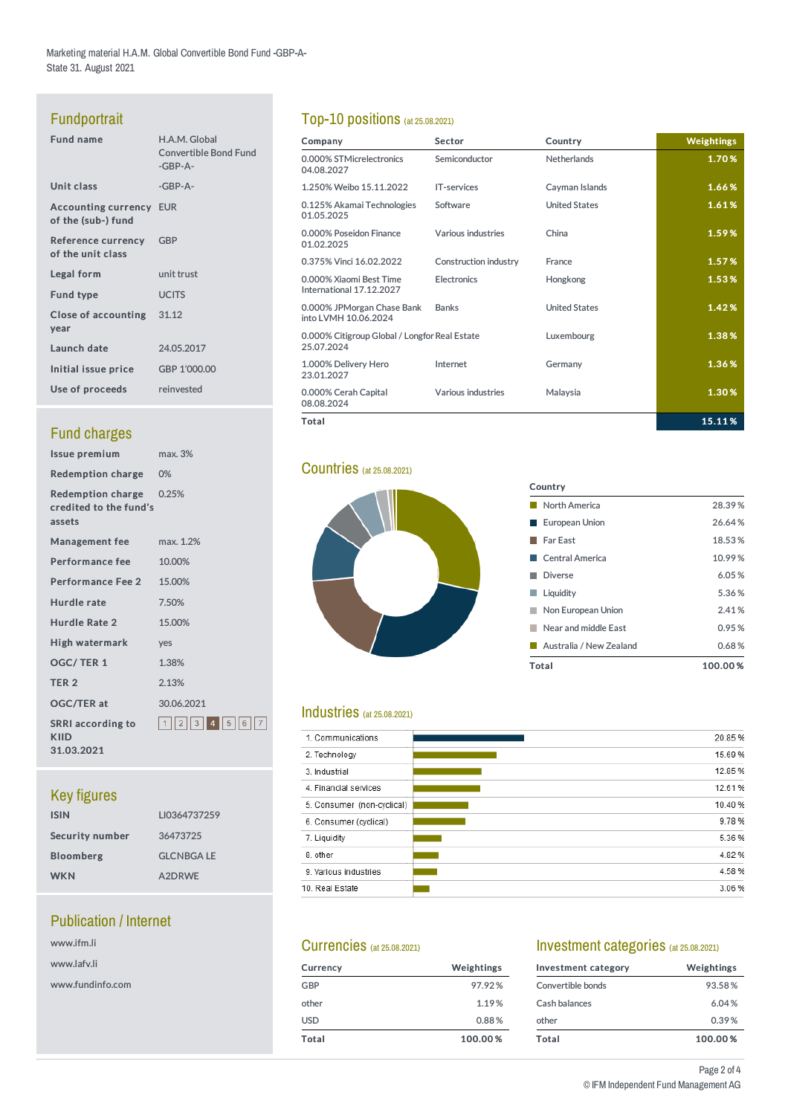Marketing material H.A.M. Global Convertible Bond Fund -GBP-A-State 31. August 2021

# Fundportrait

| <b>Fund name</b>                                     | H.A.M. Global<br><b>Convertible Bond Fund</b><br>$-GBP-A-$ |
|------------------------------------------------------|------------------------------------------------------------|
| Unit class                                           | $-GBP-A-$                                                  |
| <b>Accounting currency EUR</b><br>of the (sub-) fund |                                                            |
| Reference currency GBP<br>of the unit class          |                                                            |
| Legal form                                           | unit trust                                                 |
| <b>Fund type</b>                                     | <b>UCITS</b>                                               |
| Close of accounting 31.12<br>year                    |                                                            |
| Launch date                                          | 24.05.2017                                                 |
| Initial issue price                                  | GBP 1'000.00                                               |
| Use of proceeds                                      | reinvested                                                 |
|                                                      |                                                            |

# **Fund charges**

| Issue premium                                               | max. 3%             |
|-------------------------------------------------------------|---------------------|
| <b>Redemption charge 0%</b>                                 |                     |
| Redemption charge 0.25%<br>credited to the fund's<br>assets |                     |
| <b>Management fee</b>                                       | max. 1.2%           |
| Performance fee                                             | 10.00%              |
| <b>Performance Fee 2</b>                                    | 15.00%              |
| Hurdle rate                                                 | 7.50%               |
| Hurdle Rate 2                                               | 15.00%              |
| High watermark                                              | yes                 |
| OGC/TER 1                                                   | 1.38%               |
| TER <sub>2</sub>                                            | 2.13%               |
| <b>OGC/TER at</b>                                           | 30.06.2021          |
| <b>SRRI</b> according to<br>KIID<br>31.03.2021              | 1  2  3  4  5  6  7 |

# Key figures

| LI0364737259     |
|------------------|
| 36473725         |
| <b>GLCNBGALE</b> |
| A2DRWE           |
|                  |

# Publication / Internet

| www.ifm.li       |
|------------------|
| www.lafv.li      |
| www.fundinfo.com |

# Top-10 positions (at 25.08.2021)

| Company                                                     | Sector                | Country              | <b>Weightings</b> |
|-------------------------------------------------------------|-----------------------|----------------------|-------------------|
| 0.000% STMicrelectronics<br>04.08.2027                      | Semiconductor         | <b>Netherlands</b>   | 1.70%             |
| 1.250% Weibo 15.11.2022                                     | <b>IT-services</b>    | Cayman Islands       | 1.66%             |
| 0.125% Akamai Technologies<br>01.05.2025                    | Software              | <b>United States</b> | 1.61%             |
| 0.000% Poseidon Finance<br>01.02.2025                       | Various industries    | China                | 1.59%             |
| 0.375% Vinci 16.02.2022                                     | Construction industry | France               | 1.57%             |
| 0.000% Xiaomi Best Time<br>International 17.12.2027         | <b>Electronics</b>    | Hongkong             | 1.53%             |
| 0.000% JPMorgan Chase Bank<br>into LVMH 10.06.2024          | <b>Banks</b>          | <b>United States</b> | 1.42%             |
| 0.000% Citigroup Global / Longfor Real Estate<br>25.07.2024 |                       | Luxembourg           | 1.38%             |
| 1.000% Delivery Hero<br>23.01.2027                          | Internet              | Germany              | 1.36%             |
| 0.000% Cerah Capital<br>08.08.2024                          | Various industries    | Malaysia             | 1.30%             |
| Total                                                       |                       |                      | 15.11%            |

Country

■ North America 28.39 % ■ European Union 26.64 % ■ Far East 18.53% ■ Central America 10.99% Diverse 6.05 % **Liquidity** 5.36% **Non European Union** 2.41% **Near and middle East** 0.95% Australia / New Zealand 0.68% Total 100.00 %

# **Countries** (at 25.08.2021)



# Industries (at 25.08.2021)

| 1. Communications          | 20.85%  |
|----------------------------|---------|
| 2. Technology              | 15.69%  |
| 3. Industrial              | 12.85 % |
| 4. Financial services      | 12.61%  |
| 5. Consumer (non-cyclical) | 10.40%  |
| 6. Consumer (cyclical)     | 9.78%   |
| 7. Liquidity               | 5.36%   |
| 8. other                   | 4.82%   |
| 9. Various industries      | 4.58%   |
| 10. Real Estate            | 3.06%   |
|                            |         |

#### Currencies (at 25.08.2021)

| <b>Currency</b> | Weightings |
|-----------------|------------|
| GBP             | 97.92%     |
| other           | 1.19%      |
| <b>USD</b>      | 0.88%      |
| Total           | 100.00%    |

#### Investment categories (at 25.08.2021)

| Investment category | Weightings |  |  |  |  |
|---------------------|------------|--|--|--|--|
| Convertible bonds   | 93.58%     |  |  |  |  |
| Cash balances       | 6.04%      |  |  |  |  |
| other               | 0.39%      |  |  |  |  |
| Total               | 100.00%    |  |  |  |  |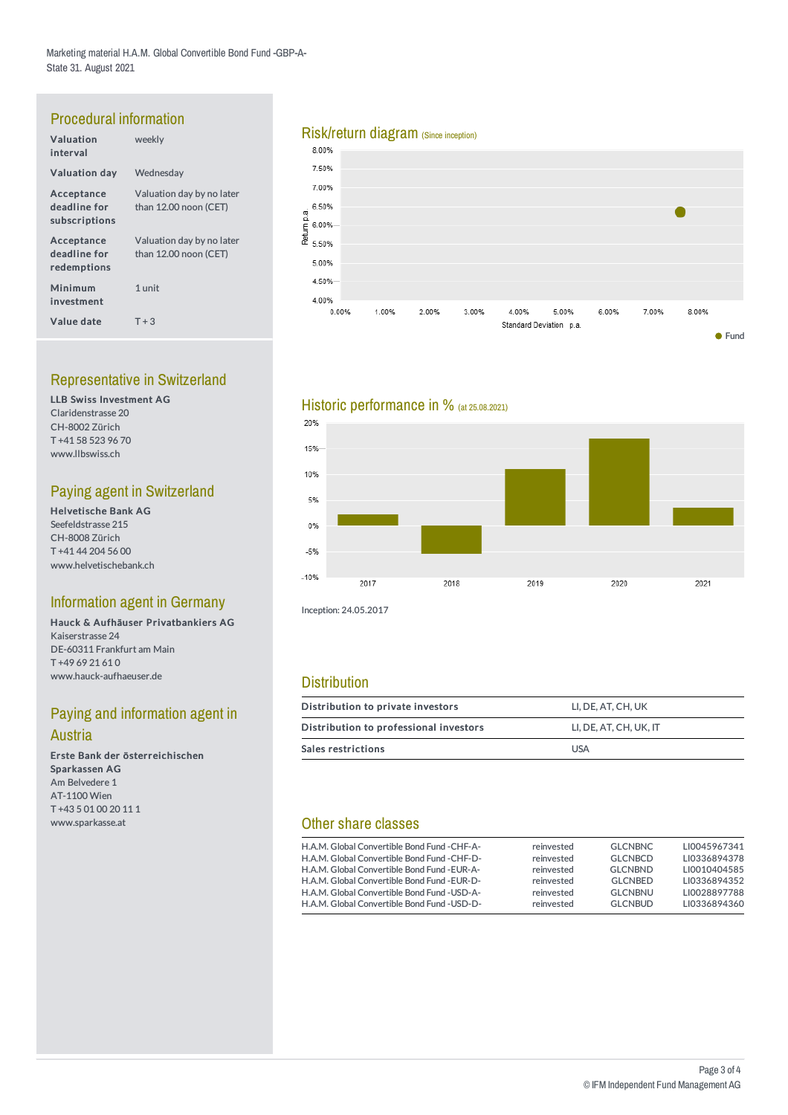# Procedural information

| Valuation<br>interval                       | weekly                                               |
|---------------------------------------------|------------------------------------------------------|
| <b>Valuation day</b>                        | Wednesday                                            |
| Acceptance<br>deadline for<br>subscriptions | Valuation day by no later<br>than $12.00$ noon (CET) |
| Acceptance<br>deadline for<br>redemptions   | Valuation day by no later<br>than 12.00 noon (CET)   |
| Minimum<br>investment                       | 1 unit                                               |
| Value date                                  | $T + 3$                                              |

# Representative in Switzerland

LLB Swiss Investment AG Claridenstrasse 20 CH-8002 Zürich T +41 58 523 96 70 www.llbswiss.ch

# Paying agent in Switzerland

Helvetische Bank AG Seefeldstrasse 215 CH-8008 Zürich T +41 44 204 56 00 www.helvetischebank.ch

# Information agent in Germany

Hauck & Aufhäuser Privatbankiers AG Kaiserstrasse 24 DE-60311 Frankfurt am Main T +49 69 21 61 0 www.hauck-aufhaeuser.de

# Paying and information agent in

#### Austria

Erste Bank der österreichischen Sparkassen AG Am Belvedere 1 AT-1100 Wien T +43 5 01 00 20 11 1 www.sparkasse.at

# Risk/return diagram (Since inception)<br>8.00%







Inception: 24.05.2017

# **Distribution**

| Distribution to private investors      | LI. DE. AT. CH. UK     |  |  |  |  |
|----------------------------------------|------------------------|--|--|--|--|
| Distribution to professional investors | LI, DE, AT, CH, UK, IT |  |  |  |  |
| <b>Sales restrictions</b>              | <b>USA</b>             |  |  |  |  |

# Other share classes

| H.A.M. Global Convertible Bond Fund - CHF-A- | reinvested | <b>GLCNBNC</b> | LI0045967341 |
|----------------------------------------------|------------|----------------|--------------|
| H.A.M. Global Convertible Bond Fund - CHF-D- | reinvested | <b>GLCNBCD</b> | LI0336894378 |
| H.A.M. Global Convertible Bond Fund - EUR-A- | reinvested | <b>GLCNBND</b> | LI0010404585 |
| H.A.M. Global Convertible Bond Fund - EUR-D- | reinvested | <b>GLCNBED</b> | LI0336894352 |
| H.A.M. Global Convertible Bond Fund - USD-A- | reinvested | <b>GLCNBNU</b> | LI0028897788 |
| H.A.M. Global Convertible Bond Fund - USD-D- | reinvested | <b>GLCNBUD</b> | LI0336894360 |